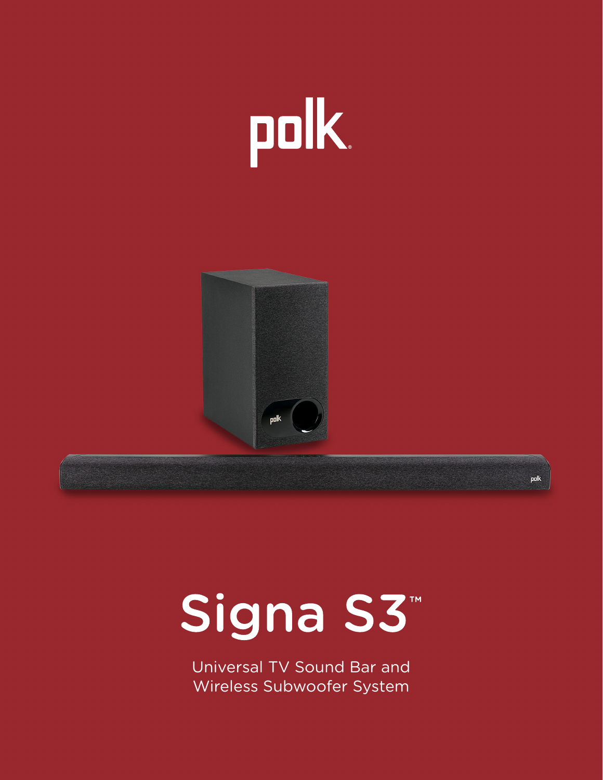



# Signa S3<sup>™</sup>

polk

Wireless Subwoofer System Universal TV Sound Bar and